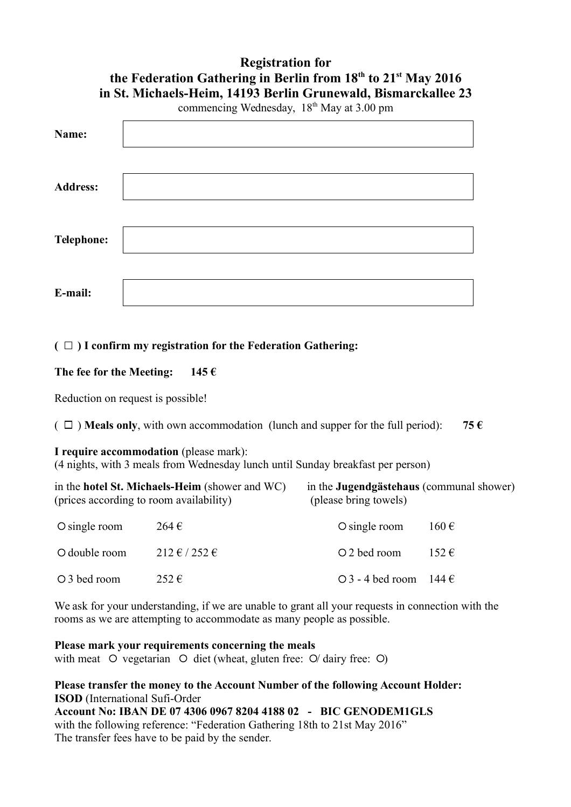# **Registration for the Federation Gathering in Berlin from 18th to 21st May 2016 in St. Michaels-Heim, 14193 Berlin Grunewald, Bismarckallee 23** commencing Wednesday, 18<sup>th</sup> May at 3.00 pm **Name:**

| таше:             |  |
|-------------------|--|
|                   |  |
| <b>Address:</b>   |  |
|                   |  |
|                   |  |
| <b>Telephone:</b> |  |
|                   |  |
| E-mail:           |  |

## $(\Box)$  I confirm my registration for the Federation Gathering:

## **The fee for the Meeting: 145 €**

Reduction on request is possible!

( $\Box$ ) **Meals only**, with own accommodation (lunch and supper for the full period): **75**  $\epsilon$ 

# **I require accommodation** (please mark):

(4 nights, with 3 meals from Wednesday lunch until Sunday breakfast per person)

| (prices according to room availability) | in the <b>hotel St. Michaels-Heim</b> (shower and WC) | in the <b>Jugendgästehaus</b> (communal shower)<br>(please bring towels) |                    |  |
|-----------------------------------------|-------------------------------------------------------|--------------------------------------------------------------------------|--------------------|--|
| $\circ$ single room                     | 264 €                                                 | $\circ$ single room                                                      | $160 \text{ } \in$ |  |
| O double room                           | $212 \notin 252 \in$                                  | O 2 bed room                                                             | 152€               |  |
| ○ 3 bed room                            | $252 \in$                                             | $\bigcirc$ 3 - 4 bed room 144 $\in$                                      |                    |  |

We ask for your understanding, if we are unable to grant all your requests in connection with the rooms as we are attempting to accommodate as many people as possible.

#### **Please mark your requirements concerning the meals**

with meat  $\circ$  vegetarian  $\circ$  diet (wheat, gluten free:  $\circ$  dairy free:  $\circ$ )

# **Please transfer the money to the Account Number of the following Account Holder: ISOD** (International Sufi-Order

**Account No: IBAN DE 07 4306 0967 8204 4188 02 - BIC GENODEM1GLS** with the following reference: "Federation Gathering 18th to 21st May 2016" The transfer fees have to be paid by the sender.